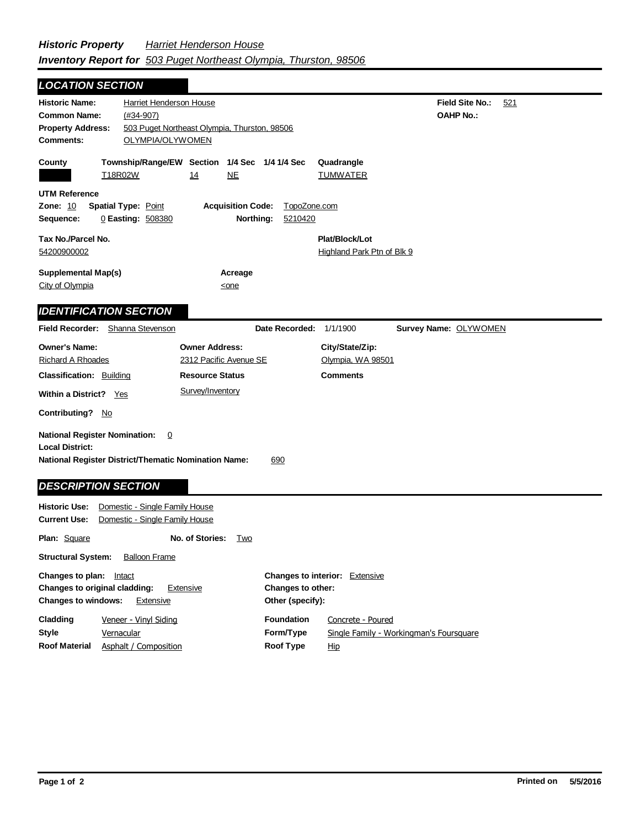**Field Site No.:** 521 **OAHP No.:** Historic Name: Harriet Henderson House **Common Name:** (#34-907) **County Plat/Block/Lot** Highland Park Ptn of Blk 9 **Acreage** <one **Supplemental Map(s)** City of Olympia **Tax No./Parcel No.** 54200900002 Property Address: 503 Puget Northeast Olympia, Thurston, 98506 *LOCATION SECTION* **Comments:** OLYMPIA/OLYWOMEN **Quadrangle UTM Reference Township/Range/EW Section 1/4 Sec 1/4 1/4 Sec Owner Address:** 2312 Pacific Avenue SE **Field Recorder:** Shanna Stevenson **Owner's Name:** Richard A Rhoades **City/State/Zip:** Olympia, WA 98501 **National Register District/Thematic Nomination Name:** 690 **Local District: Date Recorded:** 1/1/1900 **Classification:** Building Within a District? Yes **Contributing?** No **Comments National Register Nomination:** 0 **Plan:** Square **Historic Use:** Domestic - Single Family House **Current Use:** Domestic - Single Family House **Structural System:** Balloon Frame **No. of Stories:** Two **Changes to plan:** Intact **Changes to original cladding:** Extensive **Changes to interior:** Extensive **Changes to other: Resource Status Survey Name:** OLYWOMEN *IDENTIFICATION SECTION DESCRIPTION SECTION* T18R02W 14 NE TUMWATER **Zone:** 10 **Spatial Type:** Point **Acquisition Code:** TopoZone.com **Sequence:** 0 **Easting:** 508380 **Northing:** 5210420 Survey/Inventory

| <b>Changes to windows:</b> | Extensive                           | Other (specify):               |                                                              |
|----------------------------|-------------------------------------|--------------------------------|--------------------------------------------------------------|
| Cladding<br><b>Style</b>   | Veneer - Vinyl Siding<br>Vernacular | <b>Foundation</b><br>Form/Type | Concrete - Poured<br>Single Family - Workingman's Foursquare |
| <b>Roof Material</b>       | Asphalt / Composition               | Roof Type                      | Hip                                                          |